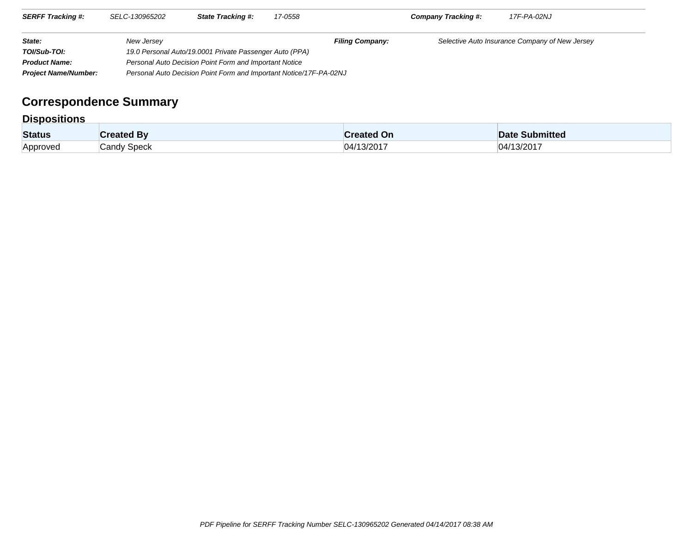| <b>SERFF Tracking #:</b>    | SELC-130965202                                         | <b>State Tracking #:</b>                                           | 17-0558 |                        | Company Tracking #: | 17F-PA-02NJ                                    |  |
|-----------------------------|--------------------------------------------------------|--------------------------------------------------------------------|---------|------------------------|---------------------|------------------------------------------------|--|
| State:                      | New Jersey                                             |                                                                    |         | <b>Filing Company:</b> |                     | Selective Auto Insurance Company of New Jersey |  |
| TOI/Sub-TOI:                |                                                        | 19.0 Personal Auto/19.0001 Private Passenger Auto (PPA)            |         |                        |                     |                                                |  |
| <b>Product Name:</b>        | Personal Auto Decision Point Form and Important Notice |                                                                    |         |                        |                     |                                                |  |
| <b>Project Name/Number:</b> |                                                        | Personal Auto Decision Point Form and Important Notice/17F-PA-02NJ |         |                        |                     |                                                |  |

# **Correspondence Summary**

## **Dispositions**

| <b>Status</b>   | ated Bv          | <b>∶reated On</b> | Submitted                                    |
|-----------------|------------------|-------------------|----------------------------------------------|
| <b>Approved</b> | Speck<br>`າndv ⊾ | 3/201<br>I4I'     | $\sim$ $\sim$ $\sim$ $\sim$<br>≀ו∆ו<br>3/201 |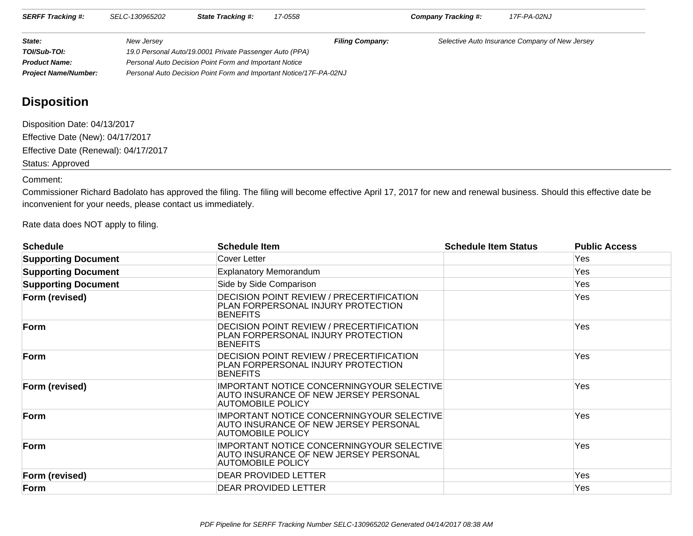| <b>SERFF Tracking #:</b>    | SELC-130965202 | <b>State Tracking #:</b>                                           | 17-0558 |                        | <b>Company Tracking #:</b> | 17F-PA-02NJ                                    |  |  |
|-----------------------------|----------------|--------------------------------------------------------------------|---------|------------------------|----------------------------|------------------------------------------------|--|--|
| State:                      | New Jersey     |                                                                    |         | <b>Filing Company:</b> |                            | Selective Auto Insurance Company of New Jersey |  |  |
| TOI/Sub-TOI:                |                | 19.0 Personal Auto/19.0001 Private Passenger Auto (PPA)            |         |                        |                            |                                                |  |  |
| <b>Product Name:</b>        |                | Personal Auto Decision Point Form and Important Notice             |         |                        |                            |                                                |  |  |
| <b>Project Name/Number:</b> |                | Personal Auto Decision Point Form and Important Notice/17F-PA-02NJ |         |                        |                            |                                                |  |  |

# **Disposition**

Disposition Date: 04/13/2017 Effective Date (New): 04/17/2017 Effective Date (Renewal): 04/17/2017Status: Approved

#### Comment:

 Commissioner Richard Badolato has approved the filing. The filing will become effective April 17, 2017 for new and renewal business. Should this effective date beinconvenient for your needs, please contact us immediately.

Rate data does NOT apply to filing.

| <b>Schedule</b>            | <b>Schedule Item</b>                                                                                     | <b>Schedule Item Status</b> | <b>Public Access</b> |  |  |  |  |
|----------------------------|----------------------------------------------------------------------------------------------------------|-----------------------------|----------------------|--|--|--|--|
| <b>Supporting Document</b> | Cover Letter                                                                                             |                             | Yes                  |  |  |  |  |
| <b>Supporting Document</b> | <b>Explanatory Memorandum</b>                                                                            |                             | Yes                  |  |  |  |  |
| <b>Supporting Document</b> | Side by Side Comparison                                                                                  |                             | Yes                  |  |  |  |  |
| Form (revised)             | DECISION POINT REVIEW / PRECERTIFICATION<br>PLAN FORPERSONAL INJURY PROTECTION<br><b>BENEFITS</b>        |                             |                      |  |  |  |  |
| Form                       | <b>DECISION POINT REVIEW / PRECERTIFICATION</b><br>PLAN FORPERSONAL INJURY PROTECTION<br><b>BENEFITS</b> |                             | Yes                  |  |  |  |  |
| Form                       | DECISION POINT REVIEW / PRECERTIFICATION<br>PLAN FORPERSONAL INJURY PROTECTION<br><b>BENEFITS</b>        |                             | Yes                  |  |  |  |  |
| Form (revised)             | IMPORTANT NOTICE CONCERNINGYOUR SELECTIVE<br>AUTO INSURANCE OF NEW JERSEY PERSONAL<br>AUTOMOBILE POLICY  |                             | Yes                  |  |  |  |  |
| Form                       | IMPORTANT NOTICE CONCERNINGYOUR SELECTIVE<br>AUTO INSURANCE OF NEW JERSEY PERSONAL<br>AUTOMOBILE POLICY  |                             |                      |  |  |  |  |
| Form                       | IMPORTANT NOTICE CONCERNINGYOUR SELECTIVE<br>AUTO INSURANCE OF NEW JERSEY PERSONAL<br>AUTOMOBILE POLICY  |                             | Yes                  |  |  |  |  |
| Form (revised)             | DEAR PROVIDED LETTER                                                                                     |                             | Yes                  |  |  |  |  |
| Form                       | DEAR PROVIDED LETTER                                                                                     |                             | Yes                  |  |  |  |  |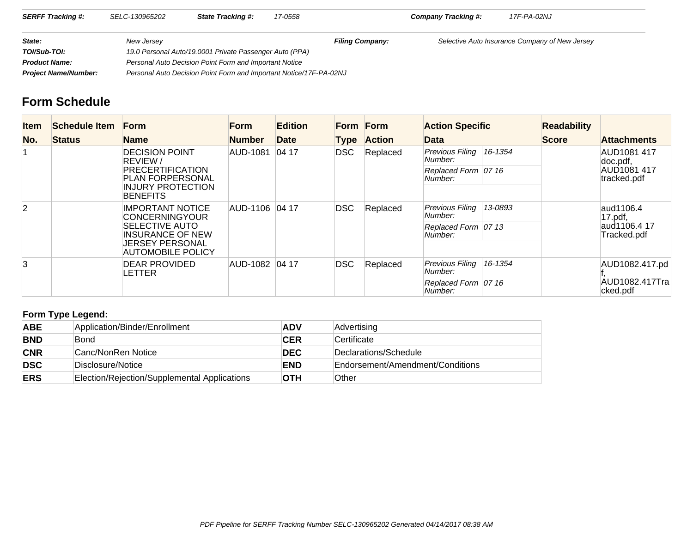| <b>SERFF Tracking #:</b>    | SELC-130965202 | <b>State Tracking #:</b>                                           | 17-0558 |                        | Company Tracking #: | 17F-PA-02NJ                                    |  |
|-----------------------------|----------------|--------------------------------------------------------------------|---------|------------------------|---------------------|------------------------------------------------|--|
| State:                      | New Jersey     |                                                                    |         | <b>Filing Company:</b> |                     | Selective Auto Insurance Company of New Jersey |  |
| TOI/Sub-TOI:                |                | 19.0 Personal Auto/19.0001 Private Passenger Auto (PPA)            |         |                        |                     |                                                |  |
| <b>Product Name:</b>        |                | Personal Auto Decision Point Form and Important Notice             |         |                        |                     |                                                |  |
| <b>Project Name/Number:</b> |                | Personal Auto Decision Point Form and Important Notice/17F-PA-02NJ |         |                        |                     |                                                |  |

## **Form Schedule**

| <b>Item</b>    | Schedule Item                                    | <b>Form</b>                                      | <b>Form</b>    | <b>Edition</b> |          | Form Form                  | <b>Action Specific</b>            |         | <b>Readability</b>           |                             |
|----------------|--------------------------------------------------|--------------------------------------------------|----------------|----------------|----------|----------------------------|-----------------------------------|---------|------------------------------|-----------------------------|
| No.            | <b>Status</b>                                    | <b>Name</b>                                      | <b>Number</b>  | Date           | Type     | <b>Action</b>              | Data                              |         | <b>Score</b>                 | <b>Attachments</b>          |
|                |                                                  | <b>DECISION POINT</b><br><b>REVIEW/</b>          | AUD-1081       | 0417           | DSC      | Replaced                   | Previous Filing<br>Number:        | 16-1354 |                              | AUD1081 417<br>doc.pdf,     |
|                |                                                  | PRECERTIFICATION<br><b>PLAN FORPERSONAL</b>      |                |                |          |                            | Replaced Form 07 16<br>Number:    |         |                              | AUD1081 417<br>tracked.pdf  |
|                |                                                  | <b>INJURY PROTECTION</b><br><b>BENEFITS</b>      |                |                |          |                            |                                   |         |                              |                             |
| $\overline{2}$ | <b>IMPORTANT NOTICE</b><br><b>CONCERNINGYOUR</b> | AUD-1106 04 17                                   |                | DSC.           | Replaced | Previous Filina<br>Number: | 13-0893                           |         | aud1106.4<br>$17.pdf$ , pdf, |                             |
|                |                                                  | <b>SELECTIVE AUTO</b><br><b>INSURANCE OF NEW</b> |                |                |          |                            | Replaced Form 07 13<br>Number:    |         |                              | aud1106.4 17<br>Tracked.pdf |
|                |                                                  | <b>JERSEY PERSONAL</b><br>AUTOMOBILE POLICY      |                |                |          |                            |                                   |         |                              |                             |
| 3              |                                                  | DEAR PROVIDED<br>LETTER                          | AUD-1082 04 17 |                | DSC      | Replaced                   | Previous Filing<br>Number:        | 16-1354 |                              | AUD1082.417.pd              |
|                |                                                  |                                                  |                |                |          |                            | Replaced Form $ 07 16$<br>Number: |         |                              | AUD1082.417Tra<br>cked.pdf  |

## **Form Type Legend:**

| <b>ABE</b> | Application/Binder/Enrollment                | <b>ADV</b> | Advertising                      |
|------------|----------------------------------------------|------------|----------------------------------|
| <b>BND</b> | Bond                                         | <b>CER</b> | Certificate                      |
| <b>CNR</b> | Canc/NonRen Notice                           | <b>DEC</b> | Declarations/Schedule            |
| <b>DSC</b> | Disclosure/Notice                            | <b>END</b> | Endorsement/Amendment/Conditions |
| <b>ERS</b> | Election/Rejection/Supplemental Applications | <b>OTH</b> | Other                            |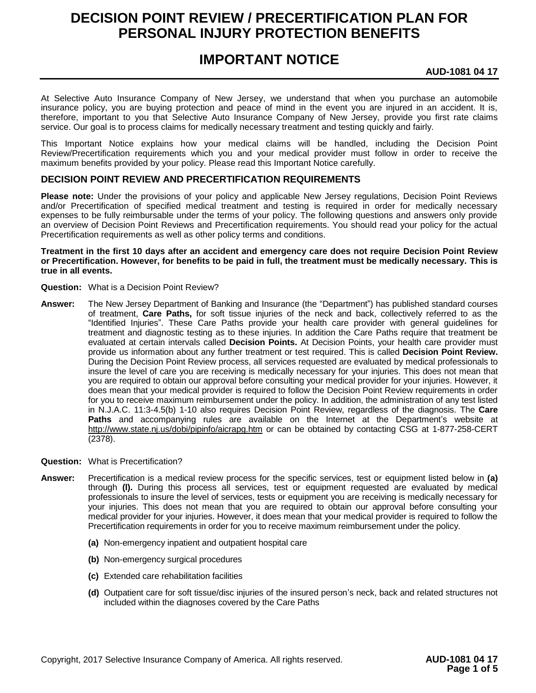# **DECISION POINT REVIEW / PRECERTIFICATION PLAN FOR PERSONAL INJURY PROTECTION BENEFITS**

## **IMPORTANT NOTICE**

**AUD-1081 04 17**

At Selective Auto Insurance Company of New Jersey, we understand that when you purchase an automobile insurance policy, you are buying protection and peace of mind in the event you are injured in an accident. It is, therefore, important to you that Selective Auto Insurance Company of New Jersey, provide you first rate claims service. Our goal is to process claims for medically necessary treatment and testing quickly and fairly.

This Important Notice explains how your medical claims will be handled, including the Decision Point Review/Precertification requirements which you and your medical provider must follow in order to receive the maximum benefits provided by your policy. Please read this Important Notice carefully.

#### **DECISION POINT REVIEW AND PRECERTIFICATION REQUIREMENTS**

**Please note:** Under the provisions of your policy and applicable New Jersey regulations, Decision Point Reviews and/or Precertification of specified medical treatment and testing is required in order for medically necessary expenses to be fully reimbursable under the terms of your policy. The following questions and answers only provide an overview of Decision Point Reviews and Precertification requirements. You should read your policy for the actual Precertification requirements as well as other policy terms and conditions.

#### **Treatment in the first 10 days after an accident and emergency care does not require Decision Point Review or Precertification. However, for benefits to be paid in full, the treatment must be medically necessary. This is true in all events.**

- **Question:** What is a Decision Point Review?
- **Answer:** The New Jersey Department of Banking and Insurance (the "Department") has published standard courses of treatment, **Care Paths,** for soft tissue injuries of the neck and back, collectively referred to as the "Identified Injuries". These Care Paths provide your health care provider with general guidelines for treatment and diagnostic testing as to these injuries. In addition the Care Paths require that treatment be evaluated at certain intervals called **Decision Points.** At Decision Points, your health care provider must provide us information about any further treatment or test required. This is called **Decision Point Review.** During the Decision Point Review process, all services requested are evaluated by medical professionals to insure the level of care you are receiving is medically necessary for your injuries. This does not mean that you are required to obtain our approval before consulting your medical provider for your injuries. However, it does mean that your medical provider is required to follow the Decision Point Review requirements in order for you to receive maximum reimbursement under the policy. In addition, the administration of any test listed in N.J.A.C. 11:3-4.5(b) 1-10 also requires Decision Point Review, regardless of the diagnosis. The **Care Paths** and accompanying rules are available on the Internet at the Department's website at http://www.state.nj.us/dobi/pipinfo/aicrapg.htm or can be obtained by contacting CSG at 1-877-258-CERT (2378).
- **Question:** What is Precertification?
- **Answer:** Precertification is a medical review process for the specific services, test or equipment listed below in **(a)** through **(l).** During this process all services, test or equipment requested are evaluated by medical professionals to insure the level of services, tests or equipment you are receiving is medically necessary for your injuries. This does not mean that you are required to obtain our approval before consulting your medical provider for your injuries. However, it does mean that your medical provider is required to follow the Precertification requirements in order for you to receive maximum reimbursement under the policy.
	- **(a)** Non-emergency inpatient and outpatient hospital care
	- **(b)** Non-emergency surgical procedures
	- **(c)** Extended care rehabilitation facilities
	- **(d)** Outpatient care for soft tissue/disc injuries of the insured person's neck, back and related structures not included within the diagnoses covered by the Care Paths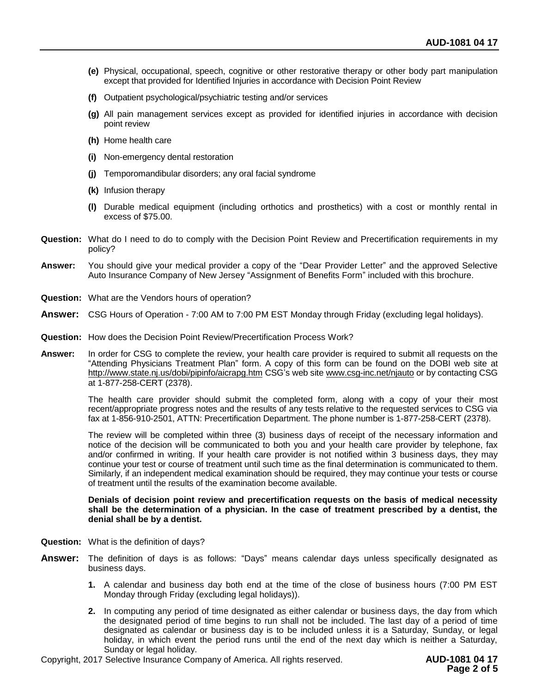- **(e)** Physical, occupational, speech, cognitive or other restorative therapy or other body part manipulation except that provided for Identified Injuries in accordance with Decision Point Review
- **(f)** Outpatient psychological/psychiatric testing and/or services
- **(g)** All pain management services except as provided for identified injuries in accordance with decision point review
- **(h)** Home health care
- **(i)** Non-emergency dental restoration
- **(j)** Temporomandibular disorders; any oral facial syndrome
- **(k)** Infusion therapy
- **(l)** Durable medical equipment (including orthotics and prosthetics) with a cost or monthly rental in excess of \$75.00.
- **Question:** What do I need to do to comply with the Decision Point Review and Precertification requirements in my policy?
- **Answer:** You should give your medical provider a copy of the "Dear Provider Letter" and the approved Selective Auto Insurance Company of New Jersey "Assignment of Benefits Form" included with this brochure.
- **Question:** What are the Vendors hours of operation?
- **Answer:** CSG Hours of Operation 7:00 AM to 7:00 PM EST Monday through Friday (excluding legal holidays).
- **Question:** How does the Decision Point Review/Precertification Process Work?
- **Answer:** In order for CSG to complete the review, your health care provider is required to submit all requests on the "Attending Physicians Treatment Plan" form. A copy of this form can be found on the DOBI web site at http://www.state.nj.us/dobi/pipinfo/aicrapg.htm CSG's web site www.csg-inc.net/njauto or by contacting CSG at 1-877-258-CERT (2378).

The health care provider should submit the completed form, along with a copy of your their most recent/appropriate progress notes and the results of any tests relative to the requested services to CSG via fax at 1-856-910-2501, ATTN: Precertification Department. The phone number is 1-877-258-CERT (2378).

The review will be completed within three (3) business days of receipt of the necessary information and notice of the decision will be communicated to both you and your health care provider by telephone, fax and/or confirmed in writing. If your health care provider is not notified within 3 business days, they may continue your test or course of treatment until such time as the final determination is communicated to them. Similarly, if an independent medical examination should be required, they may continue your tests or course of treatment until the results of the examination become available.

#### **Denials of decision point review and precertification requests on the basis of medical necessity shall be the determination of a physician. In the case of treatment prescribed by a dentist, the denial shall be by a dentist.**

- **Question:** What is the definition of days?
- **Answer:** The definition of days is as follows: "Days" means calendar days unless specifically designated as business days.
	- **1.** A calendar and business day both end at the time of the close of business hours (7:00 PM EST Monday through Friday (excluding legal holidays)).
	- **2.** In computing any period of time designated as either calendar or business days, the day from which the designated period of time begins to run shall not be included. The last day of a period of time designated as calendar or business day is to be included unless it is a Saturday, Sunday, or legal holiday, in which event the period runs until the end of the next day which is neither a Saturday, Sunday or legal holiday.

Copyright, 2017 Selective Insurance Company of America. All rights reserved. **AUD-1081 04 17**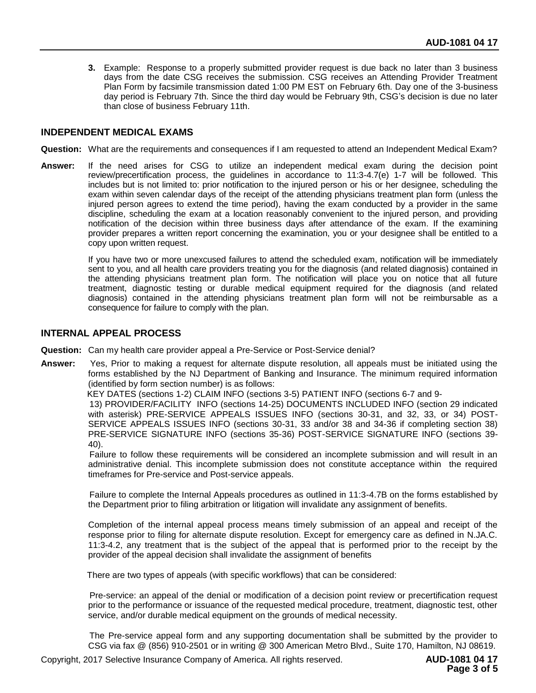**3.** Example: Response to a properly submitted provider request is due back no later than 3 business days from the date CSG receives the submission. CSG receives an Attending Provider Treatment Plan Form by facsimile transmission dated 1:00 PM EST on February 6th. Day one of the 3-business day period is February 7th. Since the third day would be February 9th, CSG's decision is due no later than close of business February 11th.

#### **INDEPENDENT MEDICAL EXAMS**

- **Question:** What are the requirements and consequences if I am requested to attend an Independent Medical Exam?
- **Answer:** If the need arises for CSG to utilize an independent medical exam during the decision point review/precertification process, the guidelines in accordance to 11:3-4.7(e) 1-7 will be followed. This includes but is not limited to: prior notification to the injured person or his or her designee, scheduling the exam within seven calendar days of the receipt of the attending physicians treatment plan form (unless the injured person agrees to extend the time period), having the exam conducted by a provider in the same discipline, scheduling the exam at a location reasonably convenient to the injured person, and providing notification of the decision within three business days after attendance of the exam. If the examining provider prepares a written report concerning the examination, you or your designee shall be entitled to a copy upon written request.

If you have two or more unexcused failures to attend the scheduled exam, notification will be immediately sent to you, and all health care providers treating you for the diagnosis (and related diagnosis) contained in the attending physicians treatment plan form. The notification will place you on notice that all future treatment, diagnostic testing or durable medical equipment required for the diagnosis (and related diagnosis) contained in the attending physicians treatment plan form will not be reimbursable as a consequence for failure to comply with the plan.

#### **INTERNAL APPEAL PROCESS**

- **Question:** Can my health care provider appeal a Pre-Service or Post-Service denial?
- **Answer:** Yes, Prior to making a request for alternate dispute resolution, all appeals must be initiated using the forms established by the NJ Department of Banking and Insurance. The minimum required information (identified by form section number) is as follows:

KEY DATES (sections 1-2) CLAIM INFO (sections 3-5) PATIENT INFO (sections 6-7 and 9-

 13) PROVIDER/FACILITY INFO (sections 14-25) DOCUMENTS INCLUDED INFO (section 29 indicated with asterisk) PRE-SERVICE APPEALS ISSUES INFO (sections 30-31, and 32, 33, or 34) POST-SERVICE APPEALS ISSUES INFO (sections 30-31, 33 and/or 38 and 34-36 if completing section 38) PRE-SERVICE SIGNATURE INFO (sections 35-36) POST-SERVICE SIGNATURE INFO (sections 39- 40).

 Failure to follow these requirements will be considered an incomplete submission and will result in an administrative denial. This incomplete submission does not constitute acceptance within the required timeframes for Pre-service and Post-service appeals.

 Failure to complete the Internal Appeals procedures as outlined in 11:3-4.7B on the forms established by the Department prior to filing arbitration or litigation will invalidate any assignment of benefits.

Completion of the internal appeal process means timely submission of an appeal and receipt of the response prior to filing for alternate dispute resolution. Except for emergency care as defined in N.JA.C. 11:3-4.2, any treatment that is the subject of the appeal that is performed prior to the receipt by the provider of the appeal decision shall invalidate the assignment of benefits

There are two types of appeals (with specific workflows) that can be considered:

 Pre-service: an appeal of the denial or modification of a decision point review or precertification request prior to the performance or issuance of the requested medical procedure, treatment, diagnostic test, other service, and/or durable medical equipment on the grounds of medical necessity.

 The Pre-service appeal form and any supporting documentation shall be submitted by the provider to CSG via fax @ (856) 910-2501 or in writing @ 300 American Metro Blvd., Suite 170, Hamilton, NJ 08619.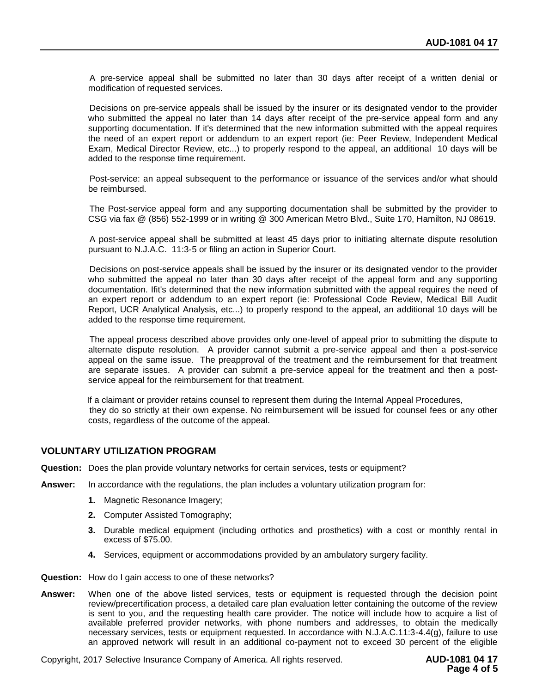A pre-service appeal shall be submitted no later than 30 days after receipt of a written denial or modification of requested services.

 Decisions on pre-service appeals shall be issued by the insurer or its designated vendor to the provider who submitted the appeal no later than 14 days after receipt of the pre-service appeal form and any supporting documentation. If it's determined that the new information submitted with the appeal requires the need of an expert report or addendum to an expert report (ie: Peer Review, Independent Medical Exam, Medical Director Review, etc...) to properly respond to the appeal, an additional 10 days will be added to the response time requirement.

 Post-service: an appeal subsequent to the performance or issuance of the services and/or what should be reimbursed.

 The Post-service appeal form and any supporting documentation shall be submitted by the provider to CSG via fax @ (856) 552-1999 or in writing @ 300 American Metro Blvd., Suite 170, Hamilton, NJ 08619.

 A post-service appeal shall be submitted at least 45 days prior to initiating alternate dispute resolution pursuant to N.J.A.C. 11:3-5 or filing an action in Superior Court.

 Decisions on post-service appeals shall be issued by the insurer or its designated vendor to the provider who submitted the appeal no later than 30 days after receipt of the appeal form and any supporting documentation. Ifit's determined that the new information submitted with the appeal requires the need of an expert report or addendum to an expert report (ie: Professional Code Review, Medical Bill Audit Report, UCR Analytical Analysis, etc...) to properly respond to the appeal, an additional 10 days will be added to the response time requirement.

 The appeal process described above provides only one-level of appeal prior to submitting the dispute to alternate dispute resolution. A provider cannot submit a pre-service appeal and then a post-service appeal on the same issue. The preapproval of the treatment and the reimbursement for that treatment are separate issues. A provider can submit a pre-service appeal for the treatment and then a postservice appeal for the reimbursement for that treatment.

 If a claimant or provider retains counsel to represent them during the Internal Appeal Procedures, they do so strictly at their own expense. No reimbursement will be issued for counsel fees or any other costs, regardless of the outcome of the appeal.

#### **VOLUNTARY UTILIZATION PROGRAM**

- **Question:** Does the plan provide voluntary networks for certain services, tests or equipment?
- **Answer:** In accordance with the regulations, the plan includes a voluntary utilization program for:
	- **1.** Magnetic Resonance Imagery;
	- **2.** Computer Assisted Tomography;
	- **3.** Durable medical equipment (including orthotics and prosthetics) with a cost or monthly rental in excess of \$75.00.
	- **4.** Services, equipment or accommodations provided by an ambulatory surgery facility.
- **Question:** How do I gain access to one of these networks?
- **Answer:** When one of the above listed services, tests or equipment is requested through the decision point review/precertification process, a detailed care plan evaluation letter containing the outcome of the review is sent to you, and the requesting health care provider. The notice will include how to acquire a list of available preferred provider networks, with phone numbers and addresses, to obtain the medically necessary services, tests or equipment requested. In accordance with N.J.A.C.11:3-4.4(g), failure to use an approved network will result in an additional co-payment not to exceed 30 percent of the eligible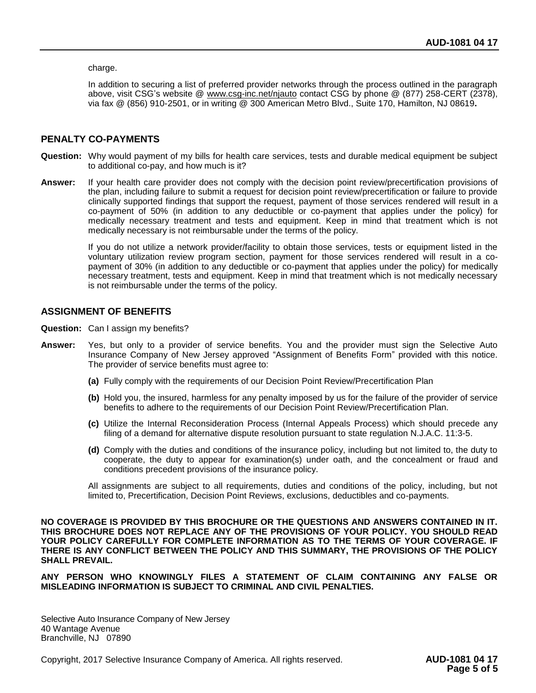charge.

In addition to securing a list of preferred provider networks through the process outlined in the paragraph above, visit CSG's website @ www.csg-inc.net/njauto contact CSG by phone @ (877) 258-CERT (2378), via fax @ (856) 910-2501, or in writing @ 300 American Metro Blvd., Suite 170, Hamilton, NJ 08619**.**

#### **PENALTY CO-PAYMENTS**

- **Question:** Why would payment of my bills for health care services, tests and durable medical equipment be subject to additional co-pay, and how much is it?
- **Answer:** If your health care provider does not comply with the decision point review/precertification provisions of the plan, including failure to submit a request for decision point review/precertification or failure to provide clinically supported findings that support the request, payment of those services rendered will result in a co-payment of 50% (in addition to any deductible or co-payment that applies under the policy) for medically necessary treatment and tests and equipment. Keep in mind that treatment which is not medically necessary is not reimbursable under the terms of the policy.

If you do not utilize a network provider/facility to obtain those services, tests or equipment listed in the voluntary utilization review program section, payment for those services rendered will result in a copayment of 30% (in addition to any deductible or co-payment that applies under the policy) for medically necessary treatment, tests and equipment. Keep in mind that treatment which is not medically necessary is not reimbursable under the terms of the policy.

#### **ASSIGNMENT OF BENEFITS**

- **Question:** Can I assign my benefits?
- **Answer:** Yes, but only to a provider of service benefits. You and the provider must sign the Selective Auto Insurance Company of New Jersey approved "Assignment of Benefits Form" provided with this notice. The provider of service benefits must agree to:
	- **(a)** Fully comply with the requirements of our Decision Point Review/Precertification Plan
	- **(b)** Hold you, the insured, harmless for any penalty imposed by us for the failure of the provider of service benefits to adhere to the requirements of our Decision Point Review/Precertification Plan.
	- **(c)** Utilize the Internal Reconsideration Process (Internal Appeals Process) which should precede any filing of a demand for alternative dispute resolution pursuant to state regulation N.J.A.C. 11:3-5.
	- **(d)** Comply with the duties and conditions of the insurance policy, including but not limited to, the duty to cooperate, the duty to appear for examination(s) under oath, and the concealment or fraud and conditions precedent provisions of the insurance policy.

All assignments are subject to all requirements, duties and conditions of the policy, including, but not limited to, Precertification, Decision Point Reviews, exclusions, deductibles and co-payments.

**NO COVERAGE IS PROVIDED BY THIS BROCHURE OR THE QUESTIONS AND ANSWERS CONTAINED IN IT. THIS BROCHURE DOES NOT REPLACE ANY OF THE PROVISIONS OF YOUR POLICY. YOU SHOULD READ YOUR POLICY CAREFULLY FOR COMPLETE INFORMATION AS TO THE TERMS OF YOUR COVERAGE. IF THERE IS ANY CONFLICT BETWEEN THE POLICY AND THIS SUMMARY, THE PROVISIONS OF THE POLICY SHALL PREVAIL.** 

**ANY PERSON WHO KNOWINGLY FILES A STATEMENT OF CLAIM CONTAINING ANY FALSE OR MISLEADING INFORMATION IS SUBJECT TO CRIMINAL AND CIVIL PENALTIES.** 

Selective Auto Insurance Company of New Jersey 40 Wantage Avenue Branchville, NJ 07890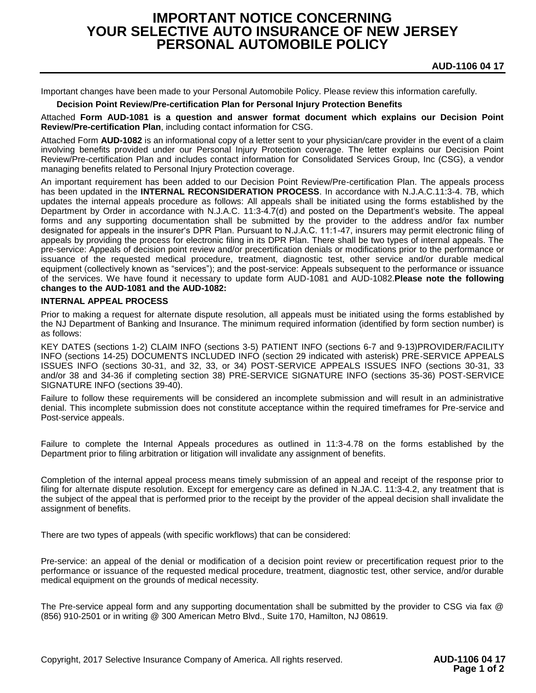## **IMPORTANT NOTICE CONCERNING YOUR SELECTIVE AUTO INSURANCE OF NEW JERSEY PERSONAL AUTOMOBILE POLICY**

Important changes have been made to your Personal Automobile Policy. Please review this information carefully.

#### **Decision Point Review/Pre-certification Plan for Personal Injury Protection Benefits**

Attached **Form AUD-1081 is a question and answer format document which explains our Decision Point Review/Pre-certification Plan**, including contact information for CSG.

Attached Form **AUD-1082** is an informational copy of a letter sent to your physician/care provider in the event of a claim involving benefits provided under our Personal Injury Protection coverage. The letter explains our Decision Point Review/Pre-certification Plan and includes contact information for Consolidated Services Group, Inc (CSG), a vendor managing benefits related to Personal Injury Protection coverage.

An important requirement has been added to our Decision Point Review/Pre-certification Plan. The appeals process has been updated in the **INTERNAL RECONSIDERATION PROCESS**. In accordance with N.J.A.C.11:3-4. 7B, which updates the internal appeals procedure as follows: All appeals shall be initiated using the forms established by the Department by Order in accordance with N.J.A.C. 11:3-4.7(d) and posted on the Department's website. The appeal forms and any supporting documentation shall be submitted by the provider to the address and/or fax number designated for appeals in the insurer's DPR Plan. Pursuant to N.J.A.C. 11:1-47, insurers may permit electronic filing of appeals by providing the process for electronic filing in its DPR Plan. There shall be two types of internal appeals. The pre-service: Appeals of decision point review and/or precertification denials or modifications prior to the performance or issuance of the requested medical procedure, treatment, diagnostic test, other service and/or durable medical equipment (collectively known as "services"); and the post-service: Appeals subsequent to the performance or issuance of the services. We have found it necessary to update form AUD-1081 and AUD-1082.**Please note the following changes to the AUD-1081 and the AUD-1082:**

#### **INTERNAL APPEAL PROCESS**

Prior to making a request for alternate dispute resolution, all appeals must be initiated using the forms established by the NJ Department of Banking and Insurance. The minimum required information (identified by form section number) is as follows:

KEY DATES (sections 1-2) CLAIM INFO (sections 3-5) PATIENT INFO (sections 6-7 and 9-13)PROVIDER/FACILITY INFO (sections 14-25) DOCUMENTS INCLUDED INFO (section 29 indicated with asterisk) PRE-SERVICE APPEALS ISSUES INFO (sections 30-31, and 32, 33, or 34) POST-SERVICE APPEALS ISSUES INFO (sections 30-31, 33 and/or 38 and 34-36 if completing section 38) PRE-SERVICE SIGNATURE INFO (sections 35-36) POST-SERVICE SIGNATURE INFO (sections 39-40).

Failure to follow these requirements will be considered an incomplete submission and will result in an administrative denial. This incomplete submission does not constitute acceptance within the required timeframes for Pre-service and Post-service appeals.

Failure to complete the Internal Appeals procedures as outlined in 11:3-4.78 on the forms established by the Department prior to filing arbitration or litigation will invalidate any assignment of benefits.

Completion of the internal appeal process means timely submission of an appeal and receipt of the response prior to filing for alternate dispute resolution. Except for emergency care as defined in N.JA.C. 11:3-4.2, any treatment that is the subject of the appeal that is performed prior to the receipt by the provider of the appeal decision shall invalidate the assignment of benefits.

There are two types of appeals (with specific workflows) that can be considered:

Pre-service: an appeal of the denial or modification of a decision point review or precertification request prior to the performance or issuance of the requested medical procedure, treatment, diagnostic test, other service, and/or durable medical equipment on the grounds of medical necessity.

The Pre-service appeal form and any supporting documentation shall be submitted by the provider to CSG via fax @ (856) 910-2501 or in writing @ 300 American Metro Blvd., Suite 170, Hamilton, NJ 08619.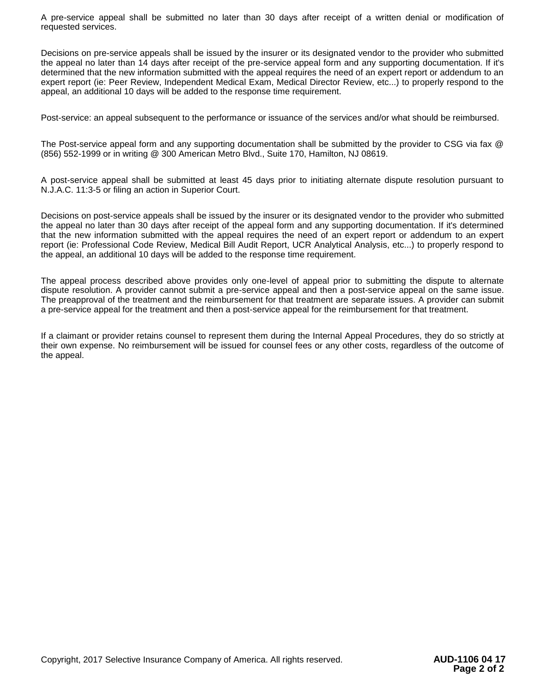A pre-service appeal shall be submitted no later than 30 days after receipt of a written denial or modification of requested services.

Decisions on pre-service appeals shall be issued by the insurer or its designated vendor to the provider who submitted the appeal no later than 14 days after receipt of the pre-service appeal form and any supporting documentation. If it's determined that the new information submitted with the appeal requires the need of an expert report or addendum to an expert report (ie: Peer Review, Independent Medical Exam, Medical Director Review, etc...) to properly respond to the appeal, an additional 10 days will be added to the response time requirement.

Post-service: an appeal subsequent to the performance or issuance of the services and/or what should be reimbursed.

The Post-service appeal form and any supporting documentation shall be submitted by the provider to CSG via fax @ (856) 552-1999 or in writing @ 300 American Metro Blvd., Suite 170, Hamilton, NJ 08619.

A post-service appeal shall be submitted at least 45 days prior to initiating alternate dispute resolution pursuant to N.J.A.C. 11:3-5 or filing an action in Superior Court.

Decisions on post-service appeals shall be issued by the insurer or its designated vendor to the provider who submitted the appeal no later than 30 days after receipt of the appeal form and any supporting documentation. If it's determined that the new information submitted with the appeal requires the need of an expert report or addendum to an expert report (ie: Professional Code Review, Medical Bill Audit Report, UCR Analytical Analysis, etc...) to properly respond to the appeal, an additional 10 days will be added to the response time requirement.

The appeal process described above provides only one-level of appeal prior to submitting the dispute to alternate dispute resolution. A provider cannot submit a pre-service appeal and then a post-service appeal on the same issue. The preapproval of the treatment and the reimbursement for that treatment are separate issues. A provider can submit a pre-service appeal for the treatment and then a post-service appeal for the reimbursement for that treatment.

If a claimant or provider retains counsel to represent them during the Internal Appeal Procedures, they do so strictly at their own expense. No reimbursement will be issued for counsel fees or any other costs, regardless of the outcome of the appeal.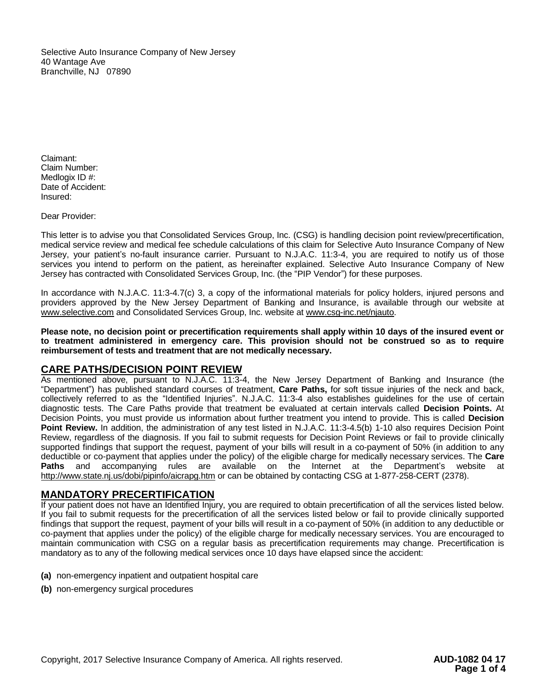Selective Auto Insurance Company of New Jersey 40 Wantage Ave Branchville, NJ 07890

Claimant: Claim Number: Medlogix ID #: Date of Accident: Insured:

Dear Provider:

This letter is to advise you that Consolidated Services Group, Inc. (CSG) is handling decision point review/precertification, medical service review and medical fee schedule calculations of this claim for Selective Auto Insurance Company of New Jersey, your patient's no-fault insurance carrier. Pursuant to N.J.A.C. 11:3-4, you are required to notify us of those services you intend to perform on the patient, as hereinafter explained. Selective Auto Insurance Company of New Jersey has contracted with Consolidated Services Group, Inc. (the "PIP Vendor") for these purposes.

In accordance with N.J.A.C. 11:3-4.7(c) 3, a copy of the informational materials for policy holders, injured persons and providers approved by the New Jersey Department of Banking and Insurance, is available through our website at [www.selective.com](http://www.selective.com/) and Consolidated Services Group, Inc. website at www.csg-inc.net/njauto.

**Please note, no decision point or precertification requirements shall apply within 10 days of the insured event or to treatment administered in emergency care. This provision should not be construed so as to require reimbursement of tests and treatment that are not medically necessary.**

#### **CARE PATHS/DECISION POINT REVIEW**

As mentioned above, pursuant to N.J.A.C. 11:3-4, the New Jersey Department of Banking and Insurance (the "Department") has published standard courses of treatment, **Care Paths,** for soft tissue injuries of the neck and back, collectively referred to as the "Identified Injuries". N.J.A.C. 11:3-4 also establishes guidelines for the use of certain diagnostic tests. The Care Paths provide that treatment be evaluated at certain intervals called **Decision Points.** At Decision Points, you must provide us information about further treatment you intend to provide. This is called **Decision Point Review.** In addition, the administration of any test listed in N.J.A.C. 11:3-4.5(b) 1-10 also requires Decision Point Review, regardless of the diagnosis. If you fail to submit requests for Decision Point Reviews or fail to provide clinically supported findings that support the request, payment of your bills will result in a co-payment of 50% (in addition to any deductible or co-payment that applies under the policy) of the eligible charge for medically necessary services. The **Care Paths** and accompanying rules are available on the Internet at the Department's website at http://www.state.nj.us/dobi/pipinfo/aicrapg.htm or can be obtained by contacting CSG at 1-877-258-CERT (2378).

### **MANDATORY PRECERTIFICATION**

If your patient does not have an Identified Injury, you are required to obtain precertification of all the services listed below. If you fail to submit requests for the precertification of all the services listed below or fail to provide clinically supported findings that support the request, payment of your bills will result in a co-payment of 50% (in addition to any deductible or co-payment that applies under the policy) of the eligible charge for medically necessary services. You are encouraged to maintain communication with CSG on a regular basis as precertification requirements may change. Precertification is mandatory as to any of the following medical services once 10 days have elapsed since the accident:

- **(a)** non-emergency inpatient and outpatient hospital care
- **(b)** non-emergency surgical procedures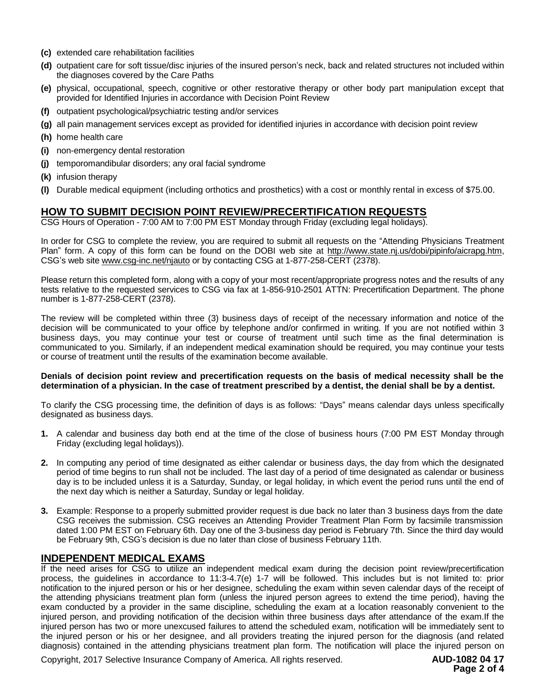- **(c)** extended care rehabilitation facilities
- **(d)** outpatient care for soft tissue/disc injuries of the insured person's neck, back and related structures not included within the diagnoses covered by the Care Paths
- **(e)** physical, occupational, speech, cognitive or other restorative therapy or other body part manipulation except that provided for Identified Injuries in accordance with Decision Point Review
- **(f)** outpatient psychological/psychiatric testing and/or services
- **(g)** all pain management services except as provided for identified injuries in accordance with decision point review
- **(h)** home health care
- **(i)** non-emergency dental restoration
- **(j)** temporomandibular disorders; any oral facial syndrome
- **(k)** infusion therapy
- **(l)** Durable medical equipment (including orthotics and prosthetics) with a cost or monthly rental in excess of \$75.00.

## **HOW TO SUBMIT DECISION POINT REVIEW/PRECERTIFICATION REQUESTS**

CSG Hours of Operation - 7:00 AM to 7:00 PM EST Monday through Friday (excluding legal holidays).

In order for CSG to complete the review, you are required to submit all requests on the "Attending Physicians Treatment Plan" form. A copy of this form can be found on the DOBI web site at http://www.state.nj.us/dobi/pipinfo/aicrapg.htm, CSG's web site www.csg-inc.net/njauto or by contacting CSG at 1-877-258-CERT (2378).

Please return this completed form, along with a copy of your most recent/appropriate progress notes and the results of any tests relative to the requested services to CSG via fax at 1-856-910-2501 ATTN: Precertification Department. The phone number is 1-877-258-CERT (2378).

The review will be completed within three (3) business days of receipt of the necessary information and notice of the decision will be communicated to your office by telephone and/or confirmed in writing. If you are not notified within 3 business days, you may continue your test or course of treatment until such time as the final determination is communicated to you. Similarly, if an independent medical examination should be required, you may continue your tests or course of treatment until the results of the examination become available.

#### **Denials of decision point review and precertification requests on the basis of medical necessity shall be the determination of a physician. In the case of treatment prescribed by a dentist, the denial shall be by a dentist.**

To clarify the CSG processing time, the definition of days is as follows: "Days" means calendar days unless specifically designated as business days.

- **1.** A calendar and business day both end at the time of the close of business hours (7:00 PM EST Monday through Friday (excluding legal holidays)).
- **2.** In computing any period of time designated as either calendar or business days, the day from which the designated period of time begins to run shall not be included. The last day of a period of time designated as calendar or business day is to be included unless it is a Saturday, Sunday, or legal holiday, in which event the period runs until the end of the next day which is neither a Saturday, Sunday or legal holiday.
- **3.** Example: Response to a properly submitted provider request is due back no later than 3 business days from the date CSG receives the submission. CSG receives an Attending Provider Treatment Plan Form by facsimile transmission dated 1:00 PM EST on February 6th. Day one of the 3-business day period is February 7th. Since the third day would be February 9th, CSG's decision is due no later than close of business February 11th.

### **INDEPENDENT MEDICAL EXAMS**

If the need arises for CSG to utilize an independent medical exam during the decision point review/precertification process, the guidelines in accordance to 11:3-4.7(e) 1-7 will be followed. This includes but is not limited to: prior notification to the injured person or his or her designee, scheduling the exam within seven calendar days of the receipt of the attending physicians treatment plan form (unless the injured person agrees to extend the time period), having the exam conducted by a provider in the same discipline, scheduling the exam at a location reasonably convenient to the injured person, and providing notification of the decision within three business days after attendance of the exam.If the injured person has two or more unexcused failures to attend the scheduled exam, notification will be immediately sent to the injured person or his or her designee, and all providers treating the injured person for the diagnosis (and related diagnosis) contained in the attending physicians treatment plan form. The notification will place the injured person on

Copyright, 2017 Selective Insurance Company of America. All rights reserved. **AUD-1082 04 17**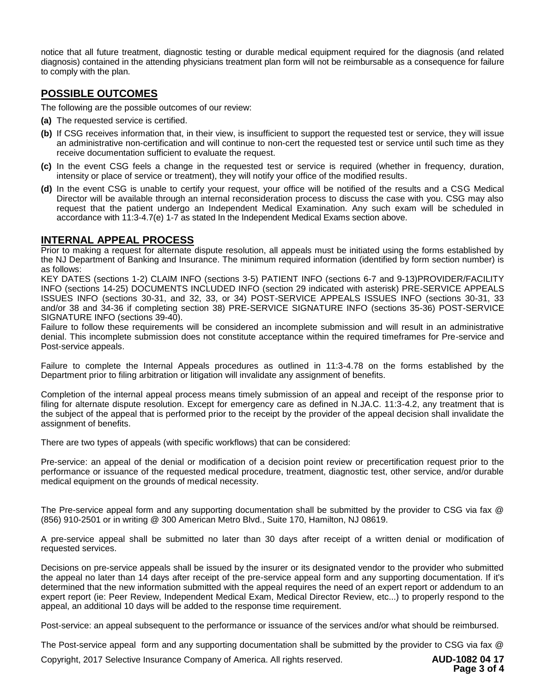notice that all future treatment, diagnostic testing or durable medical equipment required for the diagnosis (and related diagnosis) contained in the attending physicians treatment plan form will not be reimbursable as a consequence for failure to comply with the plan.

## **POSSIBLE OUTCOMES**

The following are the possible outcomes of our review:

- **(a)** The requested service is certified.
- **(b)** If CSG receives information that, in their view, is insufficient to support the requested test or service, they will issue an administrative non-certification and will continue to non-cert the requested test or service until such time as they receive documentation sufficient to evaluate the request.
- **(c)** In the event CSG feels a change in the requested test or service is required (whether in frequency, duration, intensity or place of service or treatment), they will notify your office of the modified results.
- **(d)** In the event CSG is unable to certify your request, your office will be notified of the results and a CSG Medical Director will be available through an internal reconsideration process to discuss the case with you. CSG may also request that the patient undergo an Independent Medical Examination. Any such exam will be scheduled in accordance with 11:3-4.7(e) 1-7 as stated In the Independent Medical Exams section above.

### **INTERNAL APPEAL PROCESS**

Prior to making a request for alternate dispute resolution, all appeals must be initiated using the forms established by the NJ Department of Banking and Insurance. The minimum required information (identified by form section number) is as follows:

KEY DATES (sections 1-2) CLAIM INFO (sections 3-5) PATIENT INFO (sections 6-7 and 9-13)PROVIDER/FACILITY INFO (sections 14-25) DOCUMENTS INCLUDED INFO (section 29 indicated with asterisk) PRE-SERVICE APPEALS ISSUES INFO (sections 30-31, and 32, 33, or 34) POST-SERVICE APPEALS ISSUES INFO (sections 30-31, 33 and/or 38 and 34-36 if completing section 38) PRE-SERVICE SIGNATURE INFO (sections 35-36) POST-SERVICE SIGNATURE INFO (sections 39-40).

Failure to follow these requirements will be considered an incomplete submission and will result in an administrative denial. This incomplete submission does not constitute acceptance within the required timeframes for Pre-service and Post-service appeals.

Failure to complete the Internal Appeals procedures as outlined in 11:3-4.78 on the forms established by the Department prior to filing arbitration or litigation will invalidate any assignment of benefits.

Completion of the internal appeal process means timely submission of an appeal and receipt of the response prior to filing for alternate dispute resolution. Except for emergency care as defined in N.JA.C. 11:3-4.2, any treatment that is the subject of the appeal that is performed prior to the receipt by the provider of the appeal decision shall invalidate the assignment of benefits.

There are two types of appeals (with specific workflows) that can be considered:

Pre-service: an appeal of the denial or modification of a decision point review or precertification request prior to the performance or issuance of the requested medical procedure, treatment, diagnostic test, other service, and/or durable medical equipment on the grounds of medical necessity.

The Pre-service appeal form and any supporting documentation shall be submitted by the provider to CSG via fax @ (856) 910-2501 or in writing @ 300 American Metro Blvd., Suite 170, Hamilton, NJ 08619.

A pre-service appeal shall be submitted no later than 30 days after receipt of a written denial or modification of requested services.

Decisions on pre-service appeals shall be issued by the insurer or its designated vendor to the provider who submitted the appeal no later than 14 days after receipt of the pre-service appeal form and any supporting documentation. If it's determined that the new information submitted with the appeal requires the need of an expert report or addendum to an expert report (ie: Peer Review, Independent Medical Exam, Medical Director Review, etc...) to properly respond to the appeal, an additional 10 days will be added to the response time requirement.

Post-service: an appeal subsequent to the performance or issuance of the services and/or what should be reimbursed.

The Post-service appeal form and any supporting documentation shall be submitted by the provider to CSG via fax @

Copyright, 2017 Selective Insurance Company of America. All rights reserved. **AUD-1082 04 17**